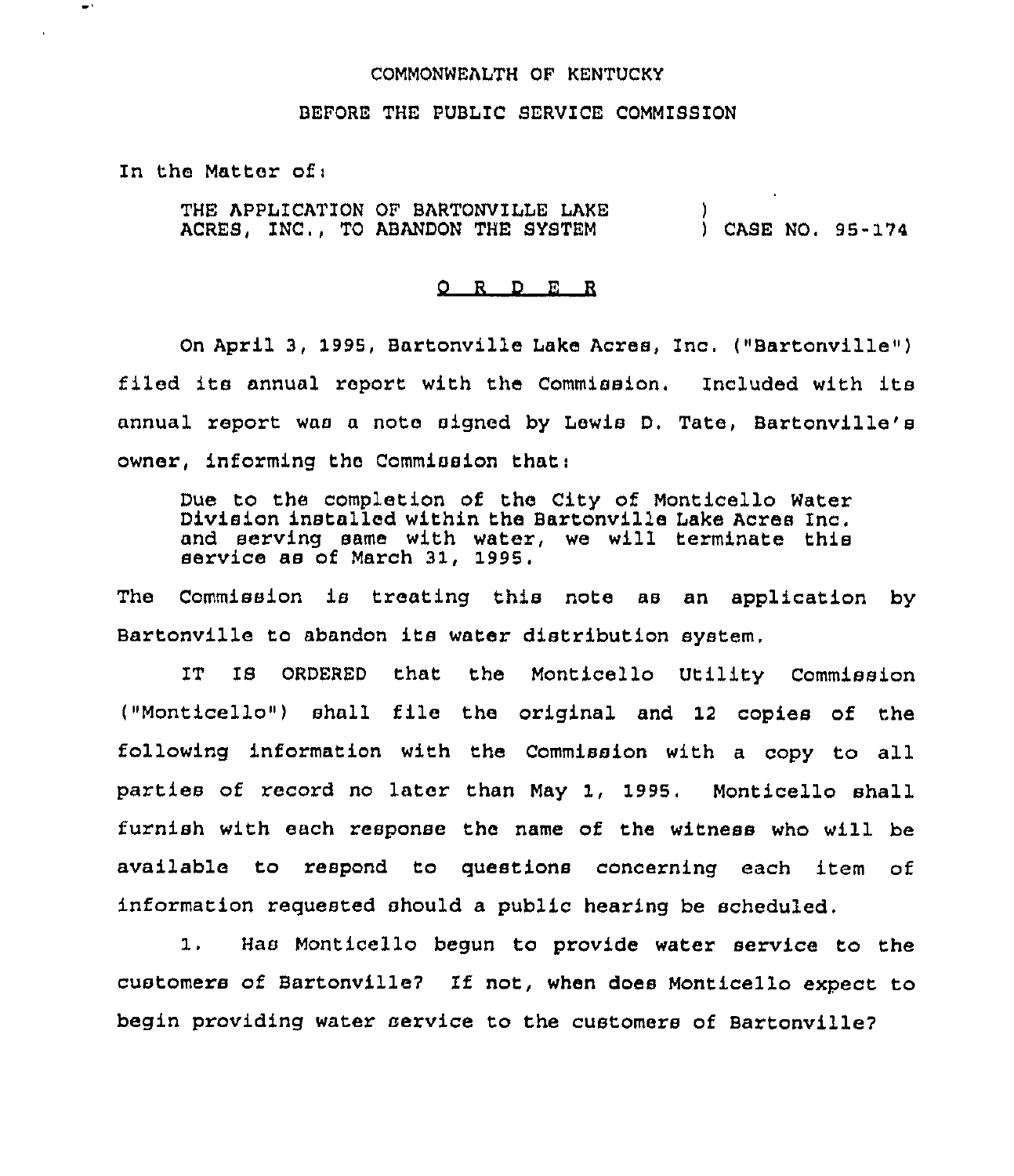## COMMONWEALTH OF KENTUCKY

## BEFORE THE PUBLIC SERVICE COMMISSION

In the Matter ofi

 $\bullet$  :

THE APPLICATION OF BARTONVILLE LAKE ACRES, INC,, TO ABANDON THE SYSTEM ) ) CASE NO, 95-174

## 0 R <sup>D</sup> <sup>R</sup> R

On April 3, 1995, Bartonville Lake Acres, Inc. ("Bartonville") filed its annual report with the Commission. Included with its annual report was a note signed by Lewis D, Tate, Bartonville's owner, informing the Commission that:

Due to the completion of the City of Monticello Water Division installed within the Bartonville Lake Acres Inc. and serving same with water, we will terminate this service as of March 31, 1995.

The Commission is treating this note as an application by Bartonville to abandon its water distribution system,

IT IS ORDERED that the Monticello Utility Commission ("Monticello") shall file the original and <sup>12</sup> copies of the following information with the Commission with <sup>a</sup> copy to all parties of record no later than May 1, 1995. Monticello shall furnish with each response the name of the witness who will be available to respond to questions concerning each item of information requested should a public hearing be scheduled.

 $1.$ Has Monticello begun to provide water service to the customers of Baztonville7 If not, when does Monticello expect to begin providing water service to the customers of Bartonville?